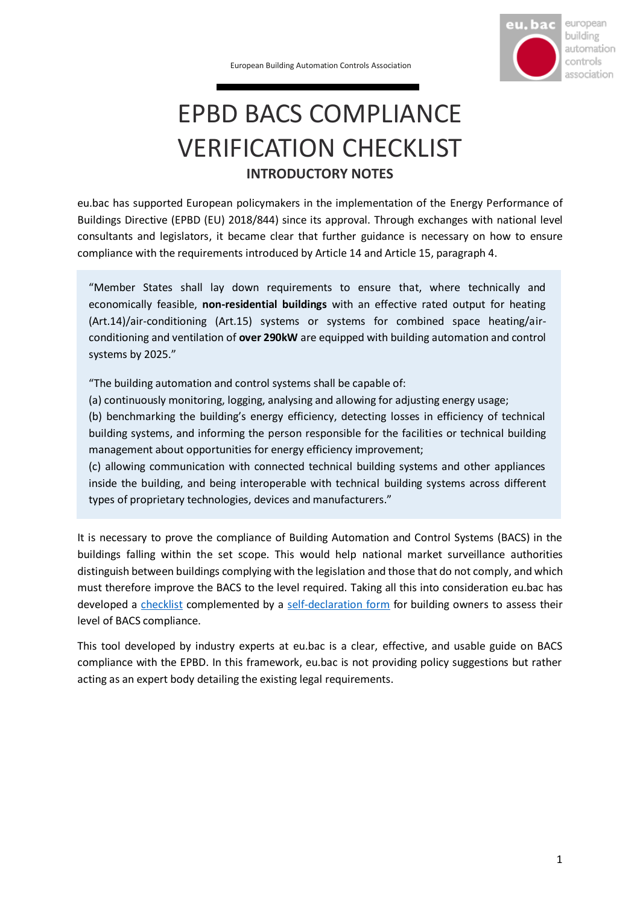

# EPBD BACS COMPLIANCE VERIFICATION CHECKLIST **INTRODUCTORY NOTES**

eu.bac has supported European policymakers in the implementation of the Energy Performance of Buildings Directive (EPBD (EU) 2018/844) since its approval. Through exchanges with national level consultants and legislators, it became clear that further guidance is necessary on how to ensure compliance with the requirements introduced by Article 14 and Article 15, paragraph 4.

"Member States shall lay down requirements to ensure that, where technically and economically feasible, **non-residential buildings** with an effective rated output for heating (Art.14)/air-conditioning (Art.15) systems or systems for combined space heating/airconditioning and ventilation of **over 290kW** are equipped with building automation and control systems by 2025."

"The building automation and control systems shall be capable of:

(a) continuously monitoring, logging, analysing and allowing for adjusting energy usage;

(b) benchmarking the building's energy efficiency, detecting losses in efficiency of technical building systems, and informing the person responsible for the facilities or technical building management about opportunities for energy efficiency improvement;

(c) allowing communication with connected technical building systems and other appliances inside the building, and being interoperable with technical building systems across different types of proprietary technologies, devices and manufacturers."

It is necessary to prove the compliance of Building Automation and Control Systems (BACS) in the buildings falling within the set scope. This would help national market surveillance authorities distinguish between buildings complying with the legislation and those that do not comply, and which must therefore improve the BACS to the level required. Taking all this into consideration eu.bac has developed a [checklist](https://www.eubac.org/cms/upload/downloads/BACS_COMPLIANCE_VERIFICATION_CHECKLIST_Draft.pdf) complemented by a [self-declaration](https://www.eubac.org/cms/upload/downloads/BACS_COMPLIANCE_SELF_DECLARATION_Draft_clean.pdf) form for building owners to assess their level of BACS compliance.

This tool developed by industry experts at eu.bac is a clear, effective, and usable guide on BACS compliance with the EPBD. In this framework, eu.bac is not providing policy suggestions but rather acting as an expert body detailing the existing legal requirements.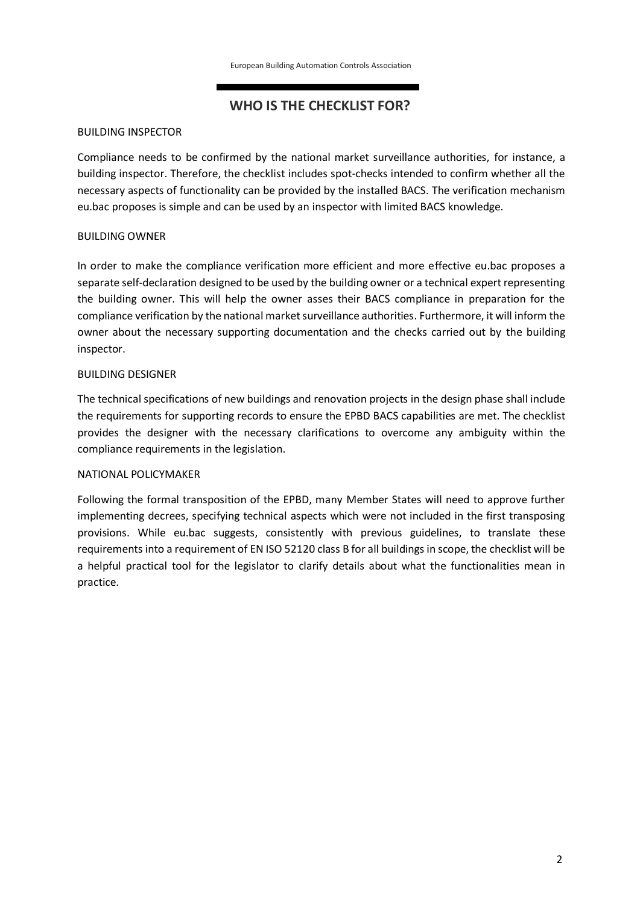# **WHO IS THE CHECKLIST FOR?**

## BUILDING INSPECTOR

Compliance needs to be confirmed by the national market surveillance authorities, for instance, a building inspector. Therefore, the checklist includes spot-checks intended to confirm whether all the necessary aspects of functionality can be provided by the installed BACS. The verification mechanism eu.bac proposes is simple and can be used by an inspector with limited BACS knowledge.

### BUILDING OWNER

In order to make the compliance verification more efficient and more effective eu.bac proposes a separate self-declaration designed to be used by the building owner or a technical expert representing the building owner. This will help the owner asses their BACS compliance in preparation for the compliance verification by the national market surveillance authorities. Furthermore, it will inform the owner about the necessary supporting documentation and the checks carried out by the building inspector.

### BUILDING DESIGNER

The technical specifications of new buildings and renovation projects in the design phase shall include the requirements for supporting records to ensure the EPBD BACS capabilities are met. The checklist provides the designer with the necessary clarifications to overcome any ambiguity within the compliance requirements in the legislation.

#### NATIONAL POLICYMAKER

Following the formal transposition of the EPBD, many Member States will need to approve further implementing decrees, specifying technical aspects which were not included in the first transposing provisions. While eu.bac suggests, consistently with previous guidelines, to translate these requirements into a requirement of EN ISO 52120 class B for all buildings in scope, the checklist will be a helpful practical tool for the legislator to clarify details about what the functionalities mean in practice.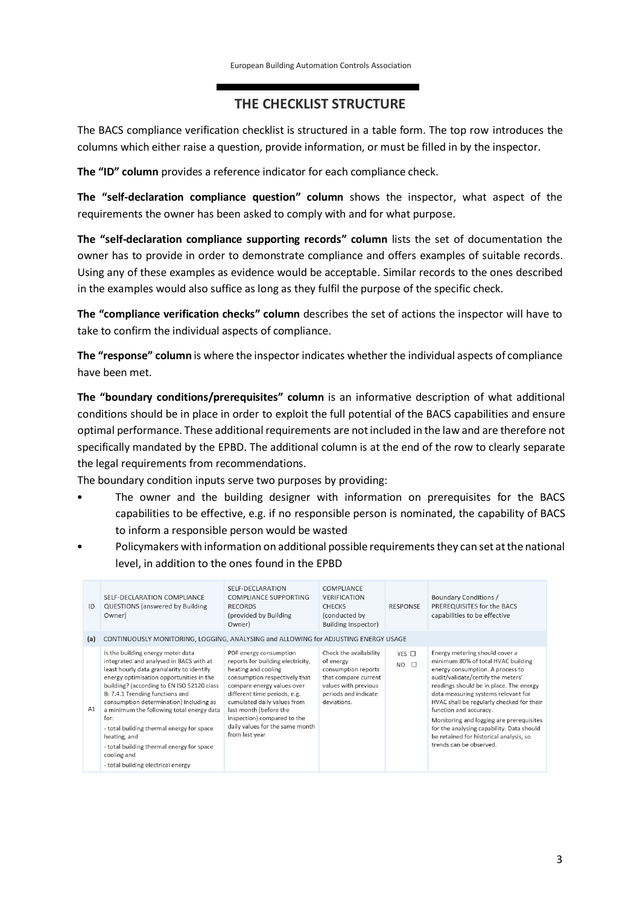# **THE CHECKLIST STRUCTURE**

The BACS compliance verification checklist is structured in a table form. The top row introduces the columns which either raise a question, provide information, or must be filled in by the inspector.

**The "ID" column** provides a reference indicator for each compliance check.

**The "self-declaration compliance question" column** shows the inspector, what aspect of the requirements the owner has been asked to comply with and for what purpose.

**The "self-declaration compliance supporting records" column** lists the set of documentation the owner has to provide in order to demonstrate compliance and offers examples of suitable records. Using any of these examples as evidence would be acceptable. Similar records to the ones described in the examples would also suffice as long as they fulfil the purpose of the specific check.

**The "compliance verification checks" column** describes the set of actions the inspector will have to take to confirm the individual aspects of compliance.

**The "response" column** is where the inspector indicates whether the individual aspects of compliance have been met.

**The "boundary conditions/prerequisites" column** is an informative description of what additional conditions should be in place in order to exploit the full potential of the BACS capabilities and ensure optimal performance. These additional requirements are not included in the law and are therefore not specifically mandated by the EPBD. The additional column is at the end of the row to clearly separate the legal requirements from recommendations.

The boundary condition inputs serve two purposes by providing:

- The owner and the building designer with information on prerequisites for the BACS capabilities to be effective, e.g. if no responsible person is nominated, the capability of BACS to inform a responsible person would be wasted
- Policymakers with information on additional possible requirements they can set at the national level, in addition to the ones found in the EPBD

| ID  | SELF-DECLARATION COMPLIANCE<br><b>QUESTIONS</b> (answered by Building<br>Owner)                                                                                                                                                                                                                                                                                                                                                                                                                                       | SELF-DECLARATION<br><b>COMPLIANCE SUPPORTING</b><br><b>RECORDS</b><br>(provided by Building)<br>Owner)                                                                                                                                                                                                                         | <b>COMPLIANCE</b><br><b>VERIFICATION</b><br><b>CHECKS</b><br>(conducted by<br>Building Inspector)                                                 | <b>RESPONSE</b>                   | Boundary Conditions /<br>PREREQUISITES for the BACS<br>capabilities to be effective                                                                                                                                                                                                                                                                                                                                                                                    |  |
|-----|-----------------------------------------------------------------------------------------------------------------------------------------------------------------------------------------------------------------------------------------------------------------------------------------------------------------------------------------------------------------------------------------------------------------------------------------------------------------------------------------------------------------------|--------------------------------------------------------------------------------------------------------------------------------------------------------------------------------------------------------------------------------------------------------------------------------------------------------------------------------|---------------------------------------------------------------------------------------------------------------------------------------------------|-----------------------------------|------------------------------------------------------------------------------------------------------------------------------------------------------------------------------------------------------------------------------------------------------------------------------------------------------------------------------------------------------------------------------------------------------------------------------------------------------------------------|--|
| (a) | CONTINUOUSLY MONITORING, LOGGING, ANALYSING and ALLOWING for ADJUSTING ENERGY USAGE                                                                                                                                                                                                                                                                                                                                                                                                                                   |                                                                                                                                                                                                                                                                                                                                |                                                                                                                                                   |                                   |                                                                                                                                                                                                                                                                                                                                                                                                                                                                        |  |
| A1  | Is the building energy meter data<br>integrated and analysed in BACS with at<br>least hourly data granularity to identify<br>energy optimisation opportunities in the<br>building? (according to EN ISO 52120 class<br>B: 7.4.1 Trending functions and<br>consumption determination) Including as<br>a minimum the following total energy data<br>for:<br>- total building thermal energy for space<br>heating, and<br>- total building thermal energy for space<br>cooling and<br>- total building electrical energy | PDF energy consumption<br>reports for building electricity,<br>heating and cooling<br>consumption respectively that<br>compare energy values over<br>different time periods, e.g.<br>cumulated daily values from<br>last month (before the<br>inspection) compared to the<br>daily values for the same month<br>from last year | Check the availability<br>of energy<br>consumption reports<br>that compare current<br>values with previous<br>periods and indicate<br>deviations. | YES $\Box$<br>$\Box$<br><b>NO</b> | Energy metering should cover a<br>minimum 80% of total HVAC building<br>energy consumption. A process to<br>audit/validate/certify the meters'<br>readings should be in place. The energy<br>data measuring systems relevant for<br>HVAC shall be regularly checked for their<br>function and accuracy.<br>Monitoring and logging are prerequisites<br>for the analysing capability. Data should<br>be retained for historical analysis, so<br>trends can be observed. |  |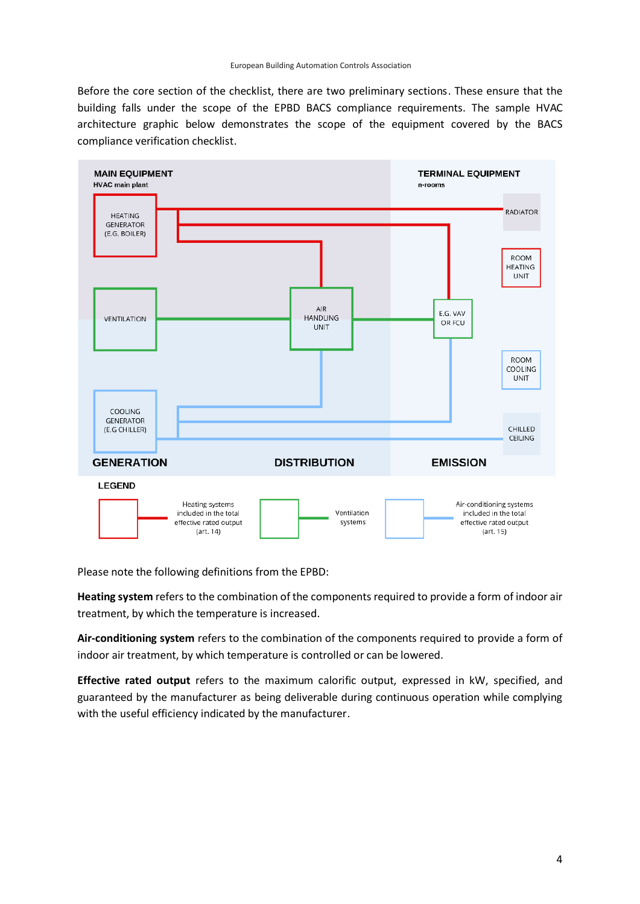Before the core section of the checklist, there are two preliminary sections. These ensure that the building falls under the scope of the EPBD BACS compliance requirements. The sample HVAC architecture graphic below demonstrates the scope of the equipment covered by the BACS compliance verification checklist.



Please note the following definitions from the EPBD:

**Heating system** refers to the combination of the components required to provide a form of indoor air treatment, by which the temperature is increased.

**Air-conditioning system** refers to the combination of the components required to provide a form of indoor air treatment, by which temperature is controlled or can be lowered.

**Effective rated output** refers to the maximum calorific output, expressed in kW, specified, and guaranteed by the manufacturer as being deliverable during continuous operation while complying with the useful efficiency indicated by the manufacturer.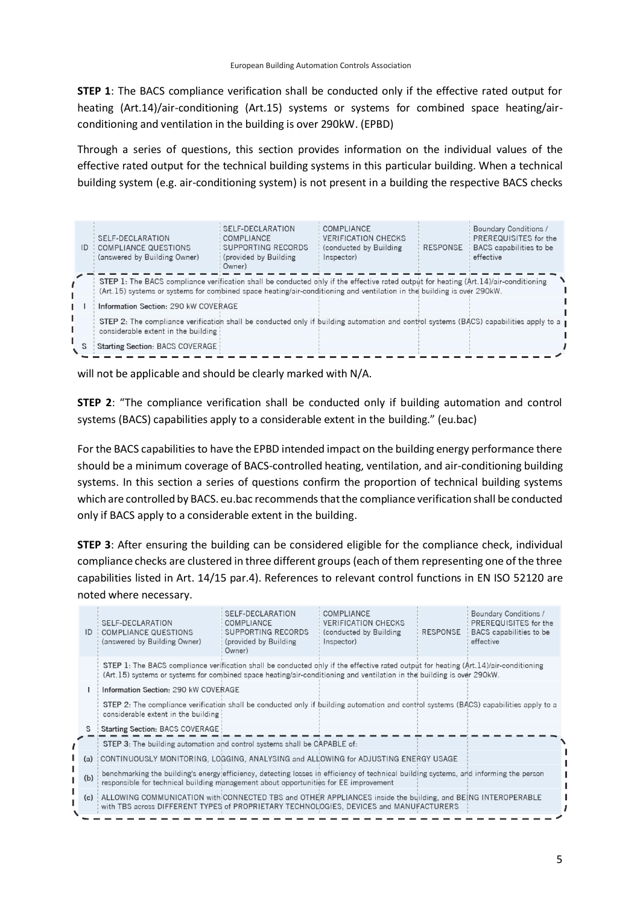**STEP 1**: The BACS compliance verification shall be conducted only if the effective rated output for heating (Art.14)/air-conditioning (Art.15) systems or systems for combined space heating/airconditioning and ventilation in the building is over 290kW. (EPBD)

Through a series of questions, this section provides information on the individual values of the effective rated output for the technical building systems in this particular building. When a technical building system (e.g. air-conditioning system) is not present in a building the respective BACS checks

| ID | <b>SELF-DECLARATION</b><br><b>COMPLIANCE QUESTIONS</b><br>(answered by Building Owner)                                                                                                                                                                         | SELF-DECLARATION<br><b>COMPLIANCE</b><br>SUPPORTING RECORDS<br>(provided by Building<br>Owner) | COMPLIANCE<br><b>VERIFICATION CHECKS</b><br>(conducted by Building<br>Inspector) | <b>RESPONSE</b> | Boundary Conditions /<br>PREREQUISITES for the<br>BACS capabilities to be<br>effective |  |  |
|----|----------------------------------------------------------------------------------------------------------------------------------------------------------------------------------------------------------------------------------------------------------------|------------------------------------------------------------------------------------------------|----------------------------------------------------------------------------------|-----------------|----------------------------------------------------------------------------------------|--|--|
|    | STEP 1: The BACS compliance verification shall be conducted only if the effective rated output for heating (Art.14)/air-conditioning<br>(Art.15) systems or systems for combined space heating/air-conditioning and ventilation in the building is over 290kW. |                                                                                                |                                                                                  |                 |                                                                                        |  |  |
|    | Information Section: 290 kW COVERAGE                                                                                                                                                                                                                           |                                                                                                |                                                                                  |                 |                                                                                        |  |  |
|    | STEP 2: The compliance verification shall be conducted only if building automation and control systems (BACS) capabilities apply to a<br>considerable extent in the building                                                                                   |                                                                                                |                                                                                  |                 |                                                                                        |  |  |
|    | Starting Section: BACS COVERAGE                                                                                                                                                                                                                                |                                                                                                |                                                                                  |                 |                                                                                        |  |  |

will not be applicable and should be clearly marked with N/A.

**STEP 2**: "The compliance verification shall be conducted only if building automation and control systems (BACS) capabilities apply to a considerable extent in the building." (eu.bac)

For the BACS capabilities to have the EPBD intended impact on the building energy performance there should be a minimum coverage of BACS-controlled heating, ventilation, and air-conditioning building systems. In this section a series of questions confirm the proportion of technical building systems which are controlled by BACS. eu.bac recommends that the compliance verification shall be conducted only if BACS apply to a considerable extent in the building.

**STEP 3**: After ensuring the building can be considered eligible for the compliance check, individual compliance checks are clustered in three different groups (each of them representing one of the three capabilities listed in Art. 14/15 par.4). References to relevant control functions in EN ISO 52120 are noted where necessary.

|                                      | ID                                                                                                                                                                                                                                                             | SELF-DECLARATION<br><b>COMPLIANCE QUESTIONS</b><br>(answered by Building Owner)                                                                                                                                               | SELF-DECLARATION<br><b>COMPLIANCE</b><br>SUPPORTING RECORDS<br>(provided by Building<br>Owner) | COMPLIANCE<br><b>VERIFICATION CHECKS</b><br>(conducted by Building<br>  Inspector) | RESPONSE | Boundary Conditions /<br>PREREQUISITES for the<br>BACS capabilities to be<br>effective |  |
|--------------------------------------|----------------------------------------------------------------------------------------------------------------------------------------------------------------------------------------------------------------------------------------------------------------|-------------------------------------------------------------------------------------------------------------------------------------------------------------------------------------------------------------------------------|------------------------------------------------------------------------------------------------|------------------------------------------------------------------------------------|----------|----------------------------------------------------------------------------------------|--|
|                                      | STEP 1: The BACS compliance verification shall be conducted only if the effective rated output for heating (Art.14)/air-conditioning<br>(Art.15) systems or systems for combined space heating/air-conditioning and ventilation in the building is over 290kW. |                                                                                                                                                                                                                               |                                                                                                |                                                                                    |          |                                                                                        |  |
| Information Section: 290 kW COVERAGE |                                                                                                                                                                                                                                                                |                                                                                                                                                                                                                               |                                                                                                |                                                                                    |          |                                                                                        |  |
|                                      |                                                                                                                                                                                                                                                                | STEP 2: The compliance verification shall be conducted only if building automation and control systems (BACS) capabilities apply to a<br>considerable extent in the building                                                  |                                                                                                |                                                                                    |          |                                                                                        |  |
|                                      | S                                                                                                                                                                                                                                                              | Starting Section: BACS COVERAGE                                                                                                                                                                                               |                                                                                                |                                                                                    |          |                                                                                        |  |
|                                      |                                                                                                                                                                                                                                                                | STEP 3: The building automation and control systems shall be CAPABLE of:                                                                                                                                                      |                                                                                                |                                                                                    |          |                                                                                        |  |
|                                      | (a)                                                                                                                                                                                                                                                            | CONTINUOUSLY MONITORING, LOGGING, ANALYSING and ALLOWING for ADJUSTING ENERGY USAGE                                                                                                                                           |                                                                                                |                                                                                    |          |                                                                                        |  |
|                                      | (b)                                                                                                                                                                                                                                                            | benchmarking the building's energy efficiency, detecting losses in efficiency of technical building systems, and informing the person<br>responsible for technical building management about opportunities for EE improvement |                                                                                                |                                                                                    |          |                                                                                        |  |
|                                      | (c)                                                                                                                                                                                                                                                            | ALLOWING COMMUNICATION with CONNECTED TBS and OTHER APPLIANCES inside the building, and BEING INTEROPERABLE<br>with TBS across DIFFERENT TYPES of PROPRIETARY TECHNOLOGIES, DEVICES and MANUFACTURERS                         |                                                                                                |                                                                                    |          |                                                                                        |  |
|                                      |                                                                                                                                                                                                                                                                |                                                                                                                                                                                                                               |                                                                                                |                                                                                    |          |                                                                                        |  |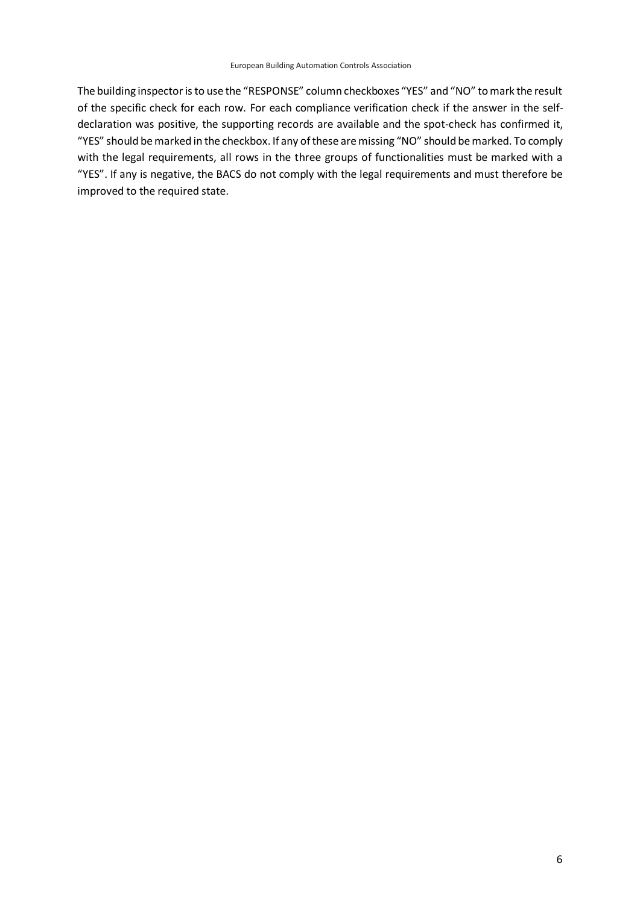The building inspector is to use the "RESPONSE" column checkboxes "YES" and "NO" to mark the result of the specific check for each row. For each compliance verification check if the answer in the selfdeclaration was positive, the supporting records are available and the spot-check has confirmed it, "YES" should be marked in the checkbox. If any of these are missing "NO" should be marked. To comply with the legal requirements, all rows in the three groups of functionalities must be marked with a "YES". If any is negative, the BACS do not comply with the legal requirements and must therefore be improved to the required state.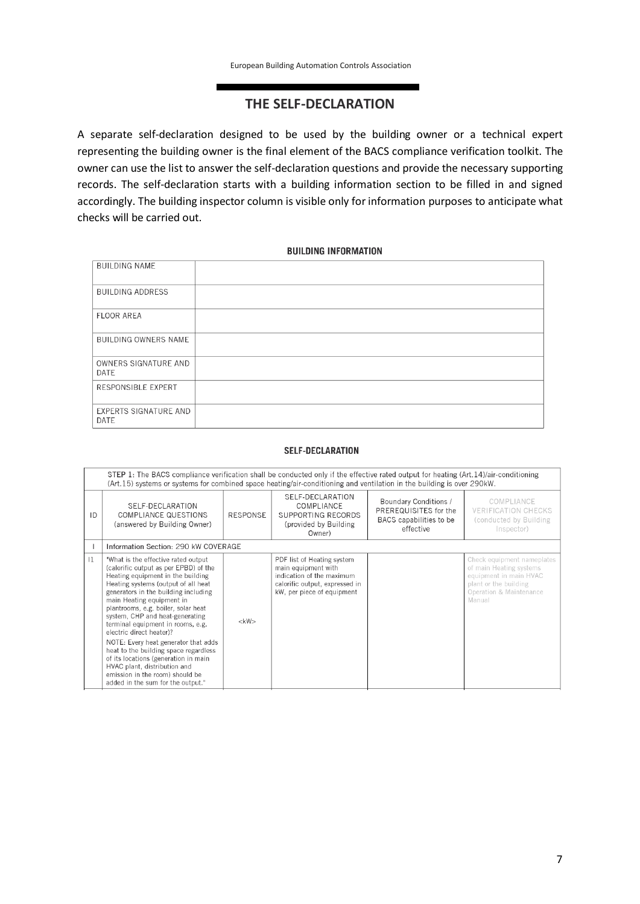# **THE SELF-DECLARATION**

A separate self-declaration designed to be used by the building owner or a technical expert representing the building owner is the final element of the BACS compliance verification toolkit. The owner can use the list to answer the self-declaration questions and provide the necessary supporting records. The self-declaration starts with a building information section to be filled in and signed accordingly. The building inspector column is visible only for information purposes to anticipate what checks will be carried out.

#### **BUILDING INFORMATION**

| <b>BUILDING NAME</b>                 |  |
|--------------------------------------|--|
| <b>BUILDING ADDRESS</b>              |  |
| <b>FLOOR AREA</b>                    |  |
| BUILDING OWNERS NAME                 |  |
| OWNERS SIGNATURE AND<br>DATE         |  |
| RESPONSIBLE EXPERT                   |  |
| <b>EXPERTS SIGNATURE AND</b><br>DATE |  |

#### **SELF-DECLARATION**

|    | STEP 1: The BACS compliance verification shall be conducted only if the effective rated output for heating (Art.14)/air-conditioning<br>(Art.15) systems or systems for combined space heating/air-conditioning and ventilation in the building is over 290kW.                                                                                                                                                                                                                                                                                                                                            |            |                                                                                                                                                |                                                                                        |                                                                                                                                               |  |
|----|-----------------------------------------------------------------------------------------------------------------------------------------------------------------------------------------------------------------------------------------------------------------------------------------------------------------------------------------------------------------------------------------------------------------------------------------------------------------------------------------------------------------------------------------------------------------------------------------------------------|------------|------------------------------------------------------------------------------------------------------------------------------------------------|----------------------------------------------------------------------------------------|-----------------------------------------------------------------------------------------------------------------------------------------------|--|
| ID | SELF-DECLARATION<br>COMPLIANCE QUESTIONS<br>(answered by Building Owner)                                                                                                                                                                                                                                                                                                                                                                                                                                                                                                                                  | RESPONSE   | SELF-DECLARATION<br>COMPLIANCE<br>SUPPORTING RECORDS<br>(provided by Building)<br>Owner)                                                       | Boundary Conditions /<br>PREREQUISITES for the<br>BACS capabilities to be<br>effective | COMPLIANCE<br><b>VERIFICATION CHECKS</b><br>(conducted by Building)<br>Inspector)                                                             |  |
|    | Information Section: 290 kW COVERAGE                                                                                                                                                                                                                                                                                                                                                                                                                                                                                                                                                                      |            |                                                                                                                                                |                                                                                        |                                                                                                                                               |  |
| 1  | "What is the effective rated output<br>(calorific output as per EPBD) of the<br>Heating equipment in the building<br>Heating systems (output of all heat<br>generators in the building including<br>main Heating equipment in<br>plantrooms, e.g. boiler, solar heat<br>system, CHP and heat-generating<br>terminal equipment in rooms, e.g.<br>electric direct heater)?<br>NOTE: Every heat generator that adds<br>heat to the building space regardless<br>of its locations (generation in main<br>HVAC plant, distribution and<br>emission in the room) should be<br>added in the sum for the output." | $<$ kW $>$ | PDF list of Heating system<br>main equipment with<br>indication of the maximum<br>calorific output, expressed in<br>kW, per piece of equipment |                                                                                        | Check equipment nameplates<br>of main Heating systems<br>equipment in main HVAC<br>plant or the building<br>Operation & Maintenance<br>Manual |  |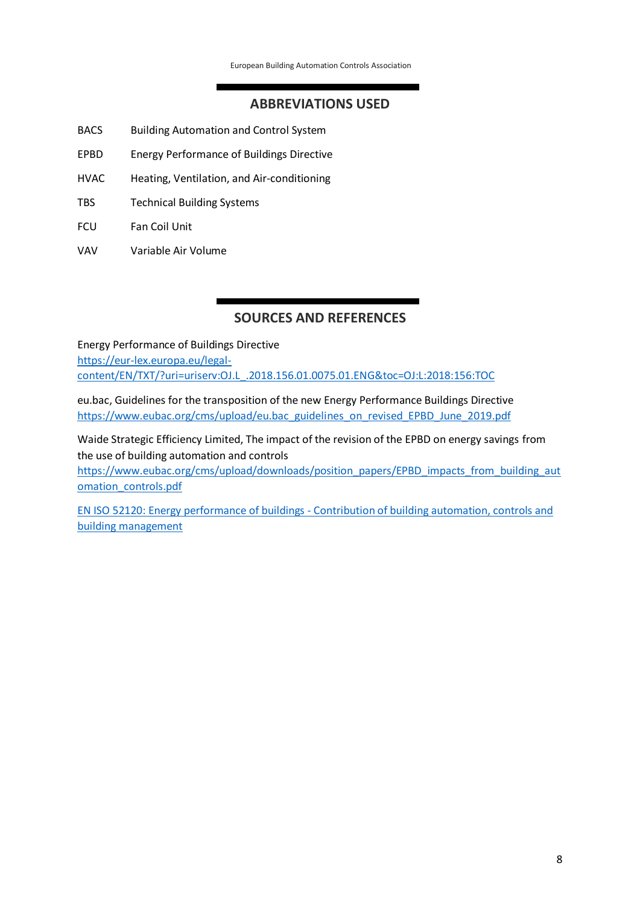European Building Automation Controls Association

# **ABBREVIATIONS USED**

- BACS Building Automation and Control System
- EPBD Energy Performance of Buildings Directive
- HVAC Heating, Ventilation, and Air-conditioning
- TBS Technical Building Systems
- FCU Fan Coil Unit
- VAV Variable Air Volume

# **SOURCES AND REFERENCES**

[Energy Performance of Buildings Directive](https://eur-lex.europa.eu/legal-content/EN/TXT/?uri=uriserv:OJ.L_.2018.156.01.0075.01.ENG&toc=OJ:L:2018:156:TOC) [https://eur-lex.europa.eu/legal](https://eur-lex.europa.eu/legal-content/EN/TXT/?uri=uriserv:OJ.L_.2018.156.01.0075.01.ENG&toc=OJ:L:2018:156:TOC)[content/EN/TXT/?uri=uriserv:OJ.L\\_.2018.156.01.0075.01.ENG&toc=OJ:L:2018:156:TOC](https://eur-lex.europa.eu/legal-content/EN/TXT/?uri=uriserv:OJ.L_.2018.156.01.0075.01.ENG&toc=OJ:L:2018:156:TOC)

[eu.bac, Guidelines for the transposition of the new Energy Performance Buildings Directive](https://www.eubac.org/cms/upload/eu.bac_guidelines_on_revised_EPBD_June_2019.pdf) [https://www.eubac.org/cms/upload/eu.bac\\_guidelines\\_on\\_revised\\_EPBD\\_June\\_2019.pdf](https://www.eubac.org/cms/upload/eu.bac_guidelines_on_revised_EPBD_June_2019.pdf)

[Waide Strategic Efficiency Limited, The impact of the revision of the EPBD on energy savings from](https://www.eubac.org/cms/upload/downloads/position_papers/EPBD_impacts_from_building_automation_controls.pdf)  [the use of building automation and controls](https://www.eubac.org/cms/upload/downloads/position_papers/EPBD_impacts_from_building_automation_controls.pdf)

[https://www.eubac.org/cms/upload/downloads/position\\_papers/EPBD\\_impacts\\_from\\_building\\_aut](https://www.eubac.org/cms/upload/downloads/position_papers/EPBD_impacts_from_building_automation_controls.pdf) [omation\\_controls.pdf](https://www.eubac.org/cms/upload/downloads/position_papers/EPBD_impacts_from_building_automation_controls.pdf)

EN ISO 52120: Energy performance of buildings - [Contribution of building automation, controls and](https://www.iso.org/standard/65883.html)  [building management](https://www.iso.org/standard/65883.html)